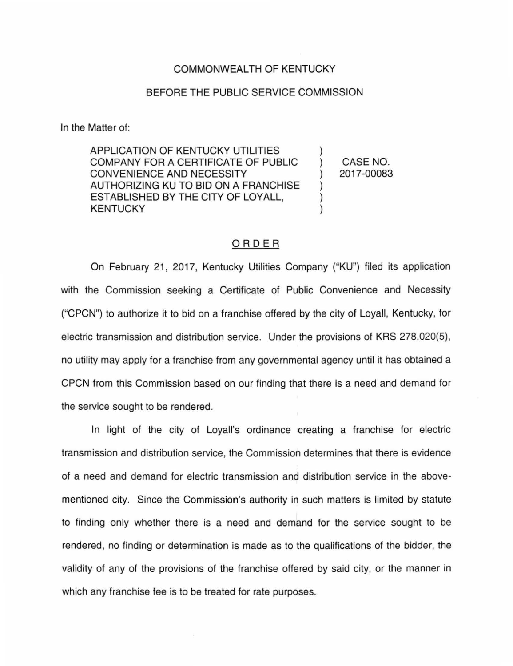## COMMONWEALTH OF KENTUCKY

## BEFORE THE PUBLIC SERVICE COMMISSION

In the Matter of:

APPLICATION OF KENTUCKY UTILITIES COMPANY FOR A CERTIFICATE OF PUBLIC CONVENIENCE AND NECESSITY AUTHORIZING KU TO BID ON A FRANCHISE ESTABLISHED BY THE CITY OF LOYALL, KENTUCKY

) CASE NO. ) 2017-00083

)

) ) )

## ORDER

On February 21 , 2017, Kentucky Utilities Company ("KU") filed its application with the Commission seeking a Certificate of Public Convenience and Necessity ("CPCN") to authorize it to bid on a franchise offered by the city of Loyall, Kentucky, for electric transmission and distribution service. Under the provisions of KRS 278.020(5), no utility may apply for a franchise from any governmental agency until it has obtained a CPCN from this Commission based on our finding that there is a need and demand for the service sought to be rendered.

In light of the city of Loyall's ordinance creating a franchise for electric transmission and distribution service, the Commission determines that there is evidence of a need and demand for electric transmission and distribution service in the abovementioned city. Since the Commission's authority in such matters is limited by statute to finding only whether there is a need and demand for the service sought to be rendered, no finding or determination is made as to the qualifications of the bidder, the validity of any of the provisions of the franchise offered by said city, or the manner in which any franchise fee is to be treated for rate purposes.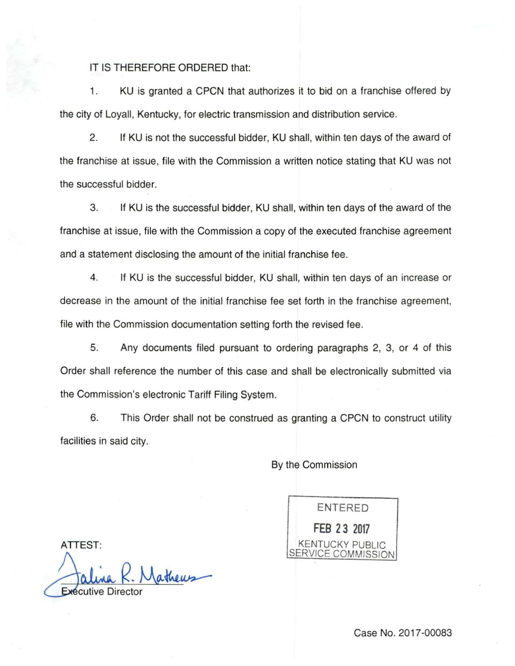## IT IS THEREFORE ORDERED that:

1. KU is granted a CPCN that authorizes it to bid on a franchise offered by the city of Loyall, Kentucky, for electric transmission and distribution service.

2. If KU is not the successful bidder, KU shall, within ten days of the award of the franchise at issue, file with the Commission a written notice stating that KU was not the successful bidder.

3. If KU is the successful bidder, KU shall, within ten days of the award of the franchise at issue, file with the Commission a copy of the executed franchise agreement and a statement disclosing the amount of the initial franchise fee.

4. If KU is the successful bidder, KU shall, within ten days of an increase or decrease in the amount of the initial franchise fee set forth in the franchise agreement, file with the Commission documentation setting forth the revised fee.

5. Any documents filed pursuant to ordering paragraphs 2, 3, or 4 of this Order shall reference the number of this case and shall be electronically submitted via the Commission's electronic Tariff Filing System.

6. This Order shall not be construed as granting a CPCN to construct utility facilities in said city.

By the Commission

ENTERED **FEB 2 3 2017**  KENTUCKY PUBLIC **VICE COMMISSION** 

ATTEST:

Jathews **Exécutive Directo**